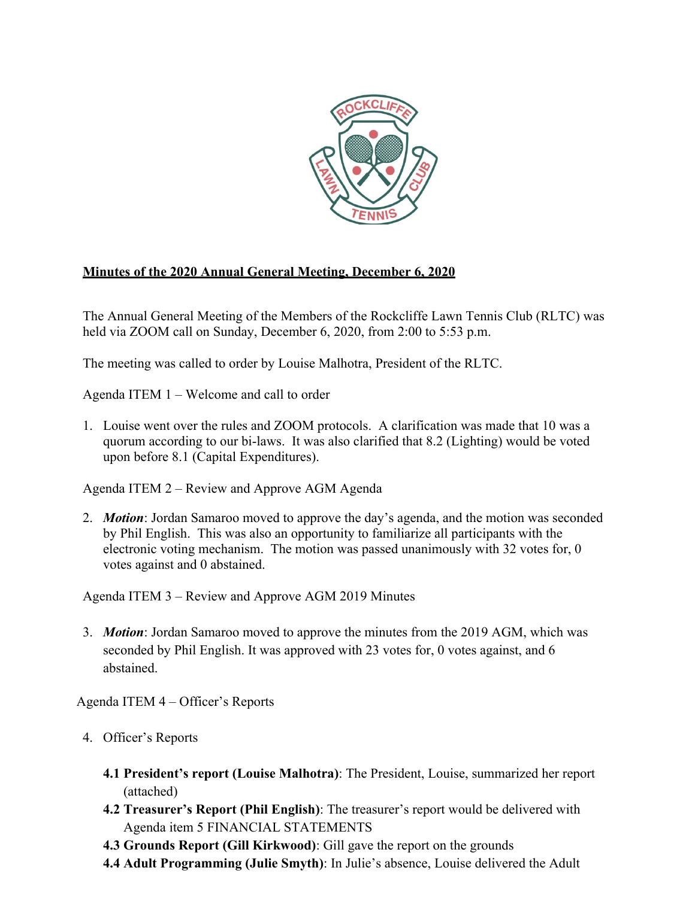

## **Minutes of the 2020 Annual General Meeting, December 6, 2020**

The Annual General Meeting of the Members of the Rockcliffe Lawn Tennis Club (RLTC) was held via ZOOM call on Sunday, December 6, 2020, from 2:00 to 5:53 p.m.

The meeting was called to order by Louise Malhotra, President of the RLTC.

Agenda ITEM 1 – Welcome and call to order

1. Louise went over the rules and ZOOM protocols. A clarification was made that 10 was a quorum according to our bi-laws. It was also clarified that 8.2 (Lighting) would be voted upon before 8.1 (Capital Expenditures).

Agenda ITEM 2 – Review and Approve AGM Agenda

2. *Motion*: Jordan Samaroo moved to approve the day's agenda, and the motion was seconded by Phil English. This was also an opportunity to familiarize all participants with the electronic voting mechanism. The motion was passed unanimously with 32 votes for, 0 votes against and 0 abstained.

Agenda ITEM 3 – Review and Approve AGM 2019 Minutes

3. *Motion*: Jordan Samaroo moved to approve the minutes from the 2019 AGM, which was seconded by Phil English. It was approved with 23 votes for, 0 votes against, and 6 abstained.

Agenda ITEM 4 – Officer's Reports

- 4. Officer's Reports
	- **4.1 President's report (Louise Malhotra)**: The President, Louise, summarized her report (attached)
	- **4.2 Treasurer's Report (Phil English)**: The treasurer's report would be delivered with Agenda item 5 FINANCIAL STATEMENTS
	- **4.3 Grounds Report (Gill Kirkwood)**: Gill gave the report on the grounds
	- **4.4 Adult Programming (Julie Smyth)**: In Julie's absence, Louise delivered the Adult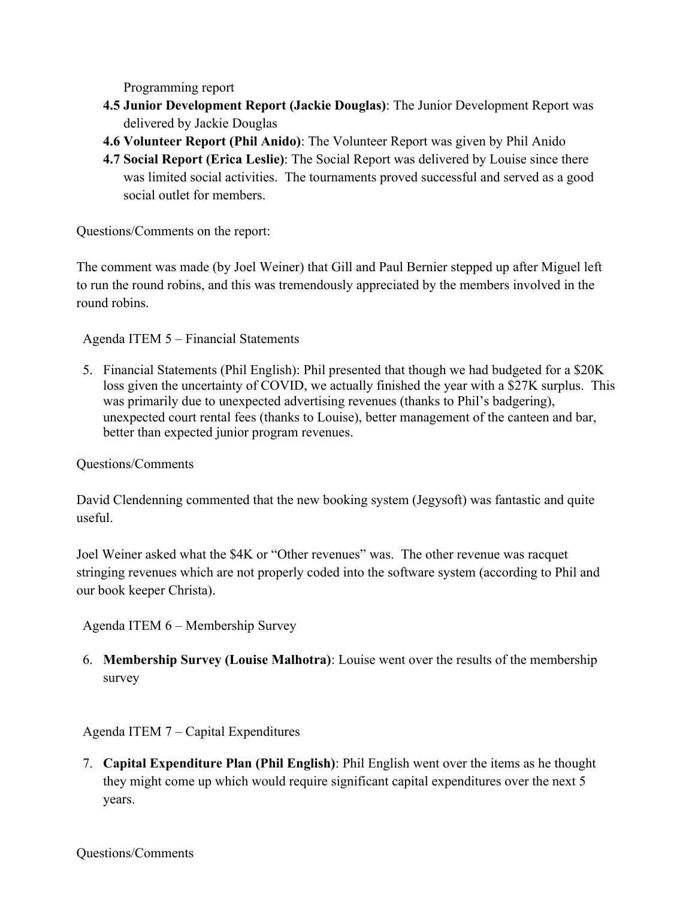Programming report

- **4.5 Junior Development Report (Jackie Douglas)**: The Junior Development Report was delivered by Jackie Douglas
- **4.6 Volunteer Report (Phil Anido)**: The Volunteer Report was given by Phil Anido
- **4.7 Social Report (Erica Leslie)**: The Social Report was delivered by Louise since there was limited social activities. The tournaments proved successful and served as a good social outlet for members.

Questions/Comments on the report:

The comment was made (by Joel Weiner) that Gill and Paul Bernier stepped up after Miguel left to run the round robins, and this was tremendously appreciated by the members involved in the round robins.

Agenda ITEM 5 – Financial Statements

5. Financial Statements (Phil English): Phil presented that though we had budgeted for a \$20K loss given the uncertainty of COVID, we actually finished the year with a \$27K surplus. This was primarily due to unexpected advertising revenues (thanks to Phil's badgering), unexpected court rental fees (thanks to Louise), better management of the canteen and bar, better than expected junior program revenues.

## Questions/Comments

David Clendenning commented that the new booking system (Jegysoft) was fantastic and quite useful.

Joel Weiner asked what the \$4K or "Other revenues" was. The other revenue was racquet stringing revenues which are not properly coded into the software system (according to Phil and our book keeper Christa).

Agenda ITEM 6 – Membership Survey

6. **Membership Survey (Louise Malhotra)**: Louise went over the results of the membership survey

## Agenda ITEM 7 – Capital Expenditures

7. **Capital Expenditure Plan (Phil English)**: Phil English went over the items as he thought they might come up which would require significant capital expenditures over the next 5 years.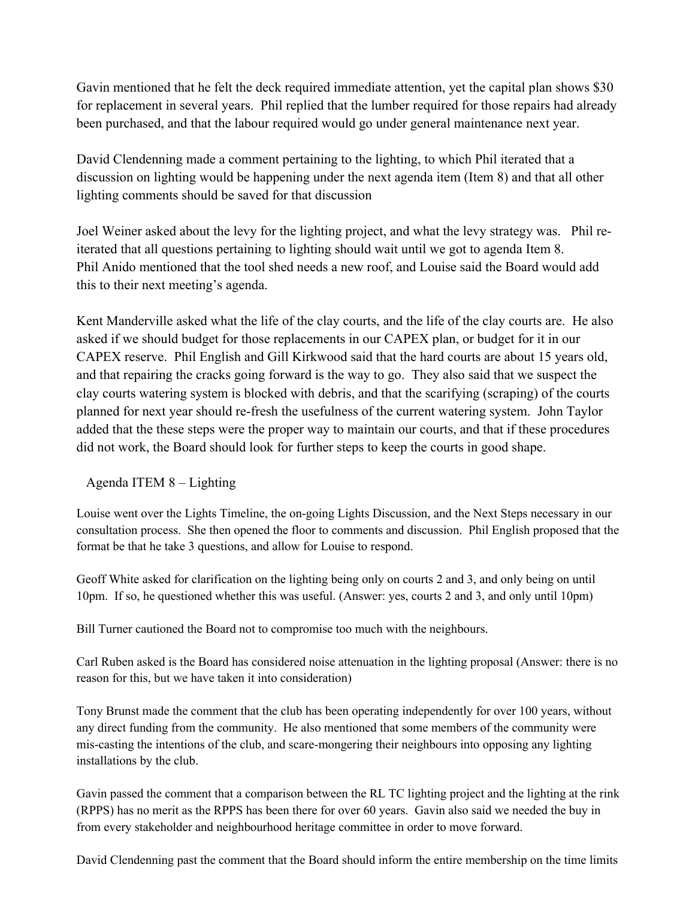Gavin mentioned that he felt the deck required immediate attention, yet the capital plan shows \$30 for replacement in several years. Phil replied that the lumber required for those repairs had already been purchased, and that the labour required would go under general maintenance next year.

David Clendenning made a comment pertaining to the lighting, to which Phil iterated that a discussion on lighting would be happening under the next agenda item (Item 8) and that all other lighting comments should be saved for that discussion

Joel Weiner asked about the levy for the lighting project, and what the levy strategy was. Phil reiterated that all questions pertaining to lighting should wait until we got to agenda Item 8. Phil Anido mentioned that the tool shed needs a new roof, and Louise said the Board would add this to their next meeting's agenda.

Kent Manderville asked what the life of the clay courts, and the life of the clay courts are. He also asked if we should budget for those replacements in our CAPEX plan, or budget for it in our CAPEX reserve. Phil English and Gill Kirkwood said that the hard courts are about 15 years old, and that repairing the cracks going forward is the way to go. They also said that we suspect the clay courts watering system is blocked with debris, and that the scarifying (scraping) of the courts planned for next year should re-fresh the usefulness of the current watering system. John Taylor added that the these steps were the proper way to maintain our courts, and that if these procedures did not work, the Board should look for further steps to keep the courts in good shape.

Agenda ITEM 8 – Lighting

Louise went over the Lights Timeline, the on-going Lights Discussion, and the Next Steps necessary in our consultation process. She then opened the floor to comments and discussion. Phil English proposed that the format be that he take 3 questions, and allow for Louise to respond.

Geoff White asked for clarification on the lighting being only on courts 2 and 3, and only being on until 10pm. If so, he questioned whether this was useful. (Answer: yes, courts 2 and 3, and only until 10pm)

Bill Turner cautioned the Board not to compromise too much with the neighbours.

Carl Ruben asked is the Board has considered noise attenuation in the lighting proposal (Answer: there is no reason for this, but we have taken it into consideration)

Tony Brunst made the comment that the club has been operating independently for over 100 years, without any direct funding from the community. He also mentioned that some members of the community were mis-casting the intentions of the club, and scare-mongering their neighbours into opposing any lighting installations by the club.

Gavin passed the comment that a comparison between the RL TC lighting project and the lighting at the rink (RPPS) has no merit as the RPPS has been there for over 60 years. Gavin also said we needed the buy in from every stakeholder and neighbourhood heritage committee in order to move forward.

David Clendenning past the comment that the Board should inform the entire membership on the time limits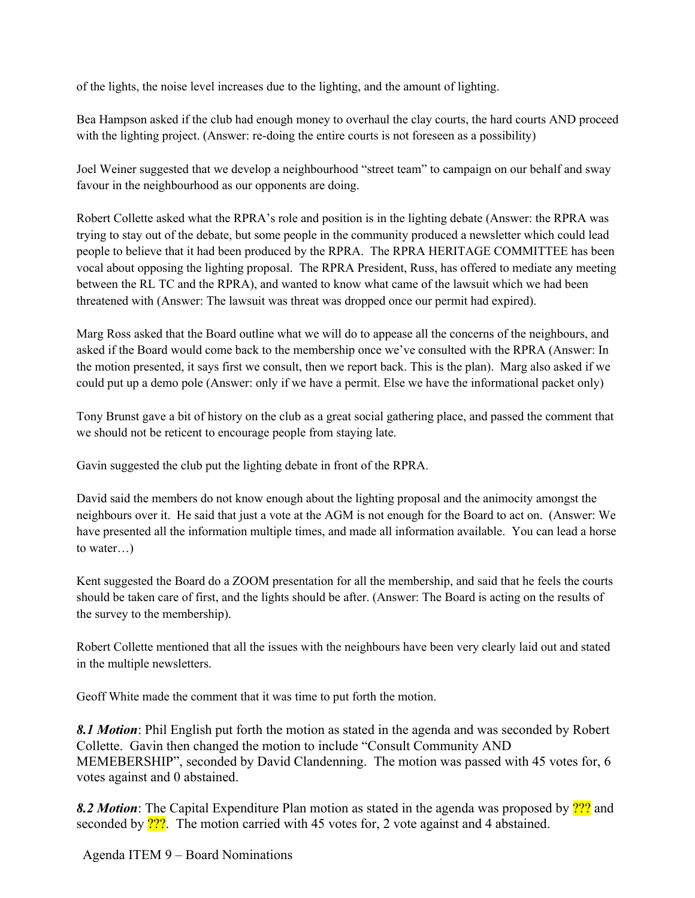of the lights, the noise level increases due to the lighting, and the amount of lighting.

Bea Hampson asked if the club had enough money to overhaul the clay courts, the hard courts AND proceed with the lighting project. (Answer: re-doing the entire courts is not foreseen as a possibility)

Joel Weiner suggested that we develop a neighbourhood "street team" to campaign on our behalf and sway favour in the neighbourhood as our opponents are doing.

Robert Collette asked what the RPRA's role and position is in the lighting debate (Answer: the RPRA was trying to stay out of the debate, but some people in the community produced a newsletter which could lead people to believe that it had been produced by the RPRA. The RPRA HERITAGE COMMITTEE has been vocal about opposing the lighting proposal. The RPRA President, Russ, has offered to mediate any meeting between the RL TC and the RPRA), and wanted to know what came of the lawsuit which we had been threatened with (Answer: The lawsuit was threat was dropped once our permit had expired).

Marg Ross asked that the Board outline what we will do to appease all the concerns of the neighbours, and asked if the Board would come back to the membership once we've consulted with the RPRA (Answer: In the motion presented, it says first we consult, then we report back. This is the plan). Marg also asked if we could put up a demo pole (Answer: only if we have a permit. Else we have the informational packet only)

Tony Brunst gave a bit of history on the club as a great social gathering place, and passed the comment that we should not be reticent to encourage people from staying late.

Gavin suggested the club put the lighting debate in front of the RPRA.

David said the members do not know enough about the lighting proposal and the animocity amongst the neighbours over it. He said that just a vote at the AGM is not enough for the Board to act on. (Answer: We have presented all the information multiple times, and made all information available. You can lead a horse to water…)

Kent suggested the Board do a ZOOM presentation for all the membership, and said that he feels the courts should be taken care of first, and the lights should be after. (Answer: The Board is acting on the results of the survey to the membership).

Robert Collette mentioned that all the issues with the neighbours have been very clearly laid out and stated in the multiple newsletters.

Geoff White made the comment that it was time to put forth the motion.

*8.1 Motion*: Phil English put forth the motion as stated in the agenda and was seconded by Robert Collette. Gavin then changed the motion to include "Consult Community AND MEMEBERSHIP", seconded by David Clandenning. The motion was passed with 45 votes for, 6 votes against and 0 abstained.

*8.2 Motion*: The Capital Expenditure Plan motion as stated in the agenda was proposed by ??? and seconded by <sup>22</sup>. The motion carried with 45 votes for, 2 vote against and 4 abstained.

Agenda ITEM 9 – Board Nominations